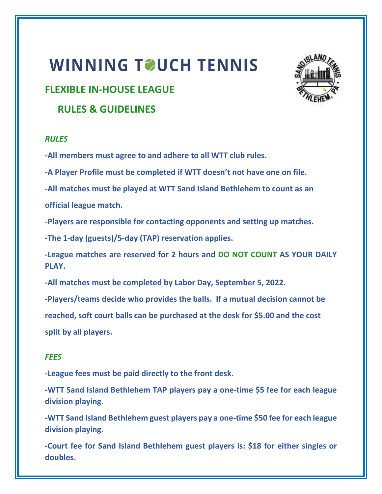# WINNING TOUCH TENNIS

# **FLEXIBLE IN-HOUSE LEAGUE**

 **RULES & GUIDELINES**

# *RULES*

**-All members must agree to and adhere to all WTT club rules.** 

**-A Player Profile must be completed if WTT doesn't not have one on file.**

**-All matches must be played at WTT Sand Island Bethlehem to count as an official league match.**

**-Players are responsible for contacting opponents and setting up matches.**

**-The 1-day (guests)/5-day (TAP) reservation applies.**

**-League matches are reserved for 2 hours and DO NOT COUNT AS YOUR DAILY PLAY.**

**-All matches must be completed by Labor Day, September 5, 2022.**

**-Players/teams decide who provides the balls. If a mutual decision cannot be** 

**reached, soft court balls can be purchased at the desk for \$5.00 and the cost split by all players.**

# *FEES*

**-League fees must be paid directly to the front desk.**

**-WTT Sand Island Bethlehem TAP players pay a one-time \$5 fee for each league division playing.**

**-WTT Sand Island Bethlehem guest players pay a one-time \$50 fee for each league division playing.**

**-Court fee for Sand Island Bethlehem guest players is: \$18 for either singles or doubles.**